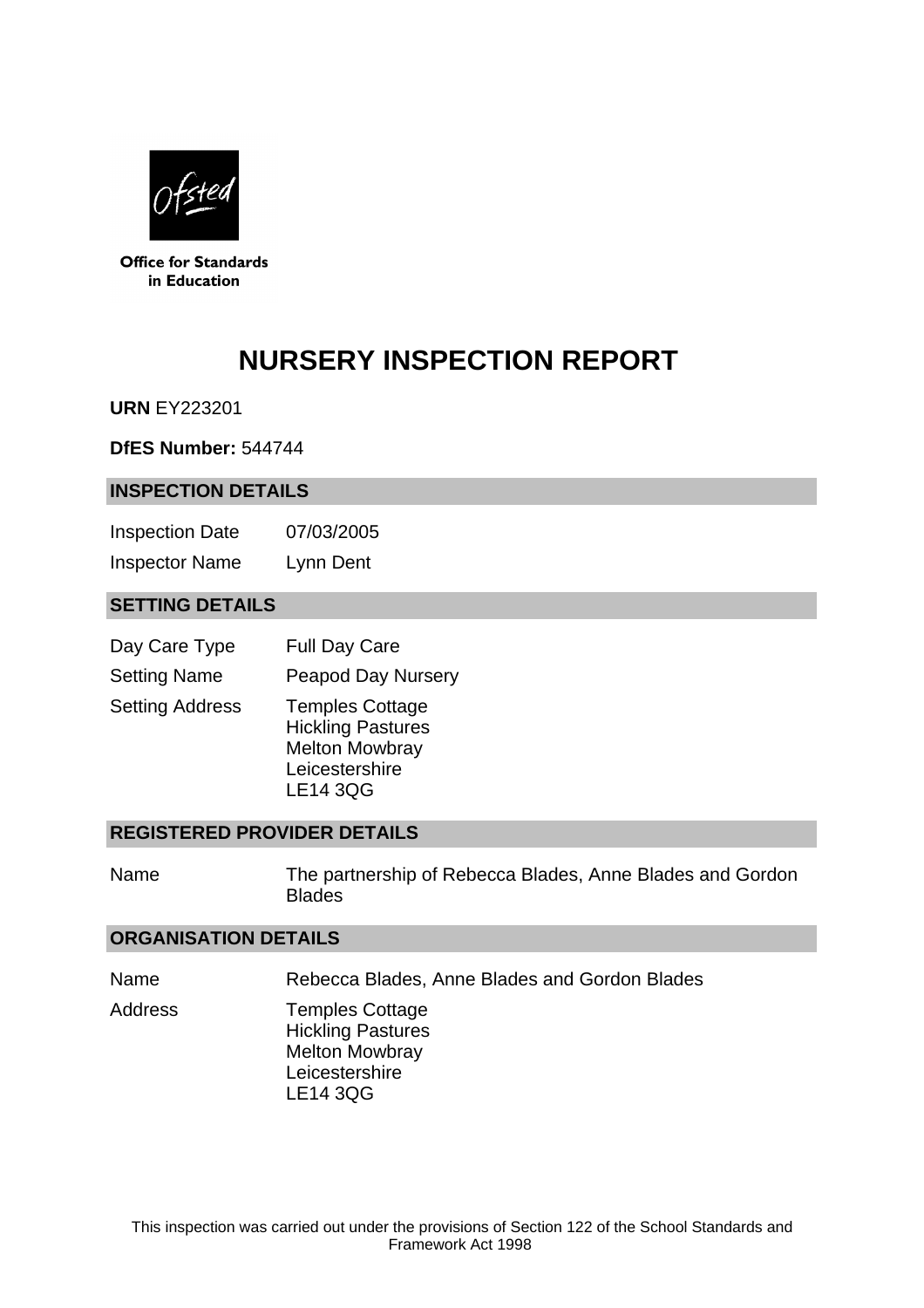

**Office for Standards** in Education

# **NURSERY INSPECTION REPORT**

**URN** EY223201

**DfES Number:** 544744

#### **INSPECTION DETAILS**

Inspection Date 07/03/2005 Inspector Name Lynn Dent

## **SETTING DETAILS**

| Day Care Type          | <b>Full Day Care</b>                                                                                             |
|------------------------|------------------------------------------------------------------------------------------------------------------|
| <b>Setting Name</b>    | <b>Peapod Day Nursery</b>                                                                                        |
| <b>Setting Address</b> | <b>Temples Cottage</b><br><b>Hickling Pastures</b><br><b>Melton Mowbray</b><br>Leicestershire<br><b>LE14 3QG</b> |

#### **REGISTERED PROVIDER DETAILS**

Name The partnership of Rebecca Blades, Anne Blades and Gordon **Blades** 

#### **ORGANISATION DETAILS**

Name Rebecca Blades, Anne Blades and Gordon Blades

Address Temples Cottage Hickling Pastures Melton Mowbray Leicestershire LE14 3QG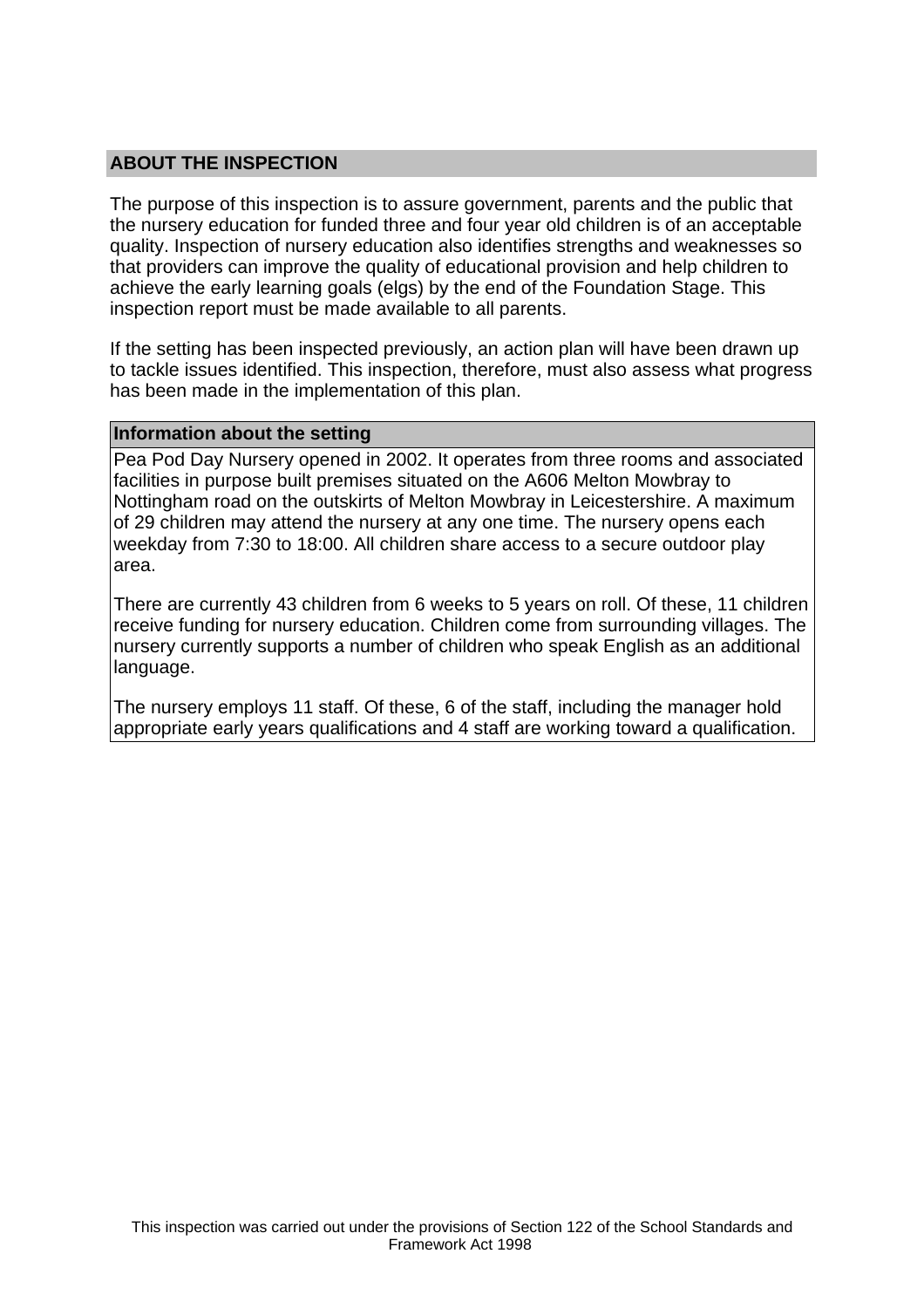## **ABOUT THE INSPECTION**

The purpose of this inspection is to assure government, parents and the public that the nursery education for funded three and four year old children is of an acceptable quality. Inspection of nursery education also identifies strengths and weaknesses so that providers can improve the quality of educational provision and help children to achieve the early learning goals (elgs) by the end of the Foundation Stage. This inspection report must be made available to all parents.

If the setting has been inspected previously, an action plan will have been drawn up to tackle issues identified. This inspection, therefore, must also assess what progress has been made in the implementation of this plan.

#### **Information about the setting**

Pea Pod Day Nursery opened in 2002. It operates from three rooms and associated facilities in purpose built premises situated on the A606 Melton Mowbray to Nottingham road on the outskirts of Melton Mowbray in Leicestershire. A maximum of 29 children may attend the nursery at any one time. The nursery opens each weekday from 7:30 to 18:00. All children share access to a secure outdoor play area.

There are currently 43 children from 6 weeks to 5 years on roll. Of these, 11 children receive funding for nursery education. Children come from surrounding villages. The nursery currently supports a number of children who speak English as an additional language.

The nursery employs 11 staff. Of these, 6 of the staff, including the manager hold appropriate early years qualifications and 4 staff are working toward a qualification.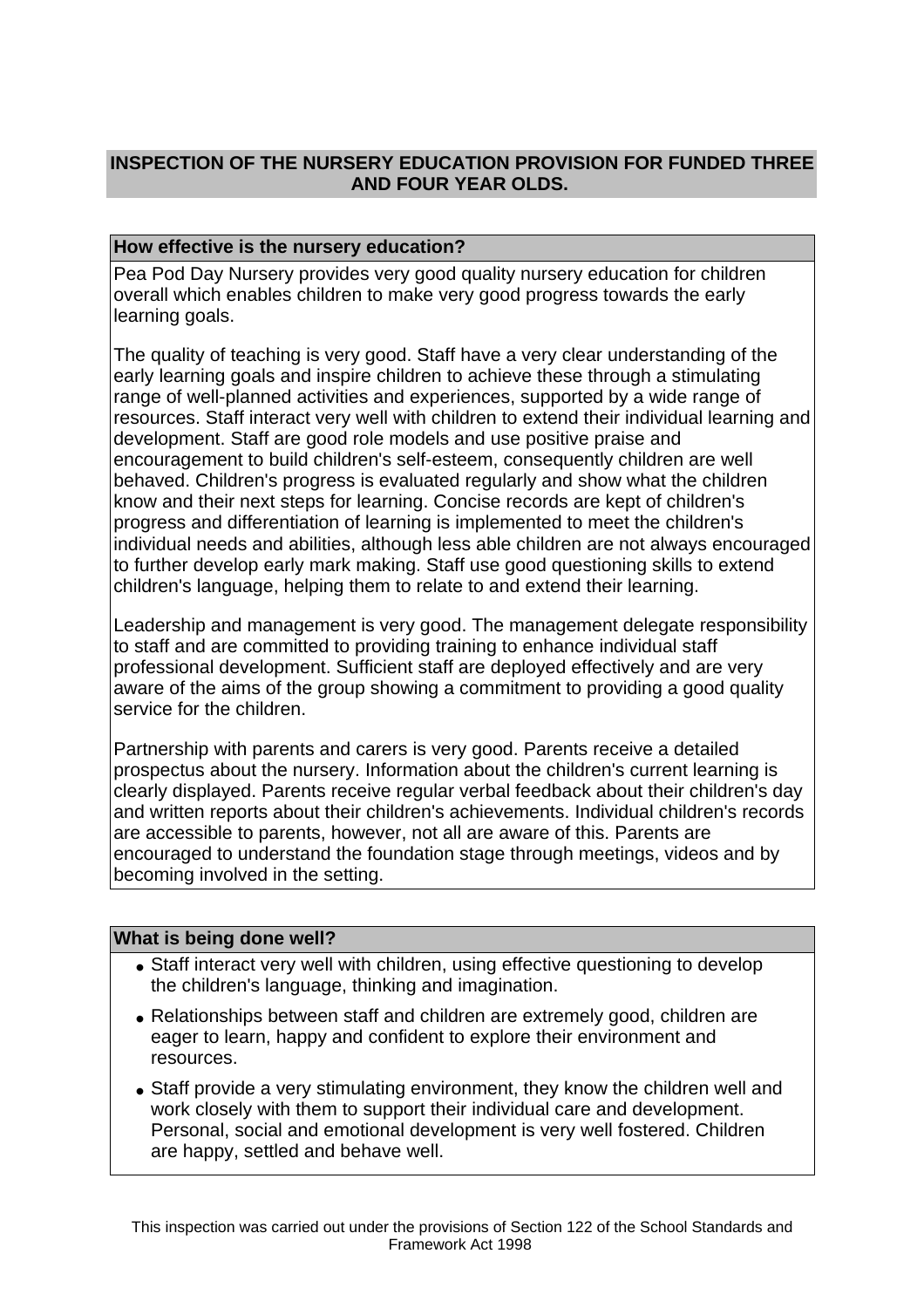# **INSPECTION OF THE NURSERY EDUCATION PROVISION FOR FUNDED THREE AND FOUR YEAR OLDS.**

### **How effective is the nursery education?**

Pea Pod Day Nursery provides very good quality nursery education for children overall which enables children to make very good progress towards the early learning goals.

The quality of teaching is very good. Staff have a very clear understanding of the early learning goals and inspire children to achieve these through a stimulating range of well-planned activities and experiences, supported by a wide range of resources. Staff interact very well with children to extend their individual learning and development. Staff are good role models and use positive praise and encouragement to build children's self-esteem, consequently children are well behaved. Children's progress is evaluated regularly and show what the children know and their next steps for learning. Concise records are kept of children's progress and differentiation of learning is implemented to meet the children's individual needs and abilities, although less able children are not always encouraged to further develop early mark making. Staff use good questioning skills to extend children's language, helping them to relate to and extend their learning.

Leadership and management is very good. The management delegate responsibility to staff and are committed to providing training to enhance individual staff professional development. Sufficient staff are deployed effectively and are very aware of the aims of the group showing a commitment to providing a good quality service for the children.

Partnership with parents and carers is very good. Parents receive a detailed prospectus about the nursery. Information about the children's current learning is clearly displayed. Parents receive regular verbal feedback about their children's day and written reports about their children's achievements. Individual children's records are accessible to parents, however, not all are aware of this. Parents are encouraged to understand the foundation stage through meetings, videos and by becoming involved in the setting.

#### **What is being done well?**

- Staff interact very well with children, using effective questioning to develop the children's language, thinking and imagination.
- Relationships between staff and children are extremely good, children are eager to learn, happy and confident to explore their environment and resources.
- Staff provide a very stimulating environment, they know the children well and work closely with them to support their individual care and development. Personal, social and emotional development is very well fostered. Children are happy, settled and behave well.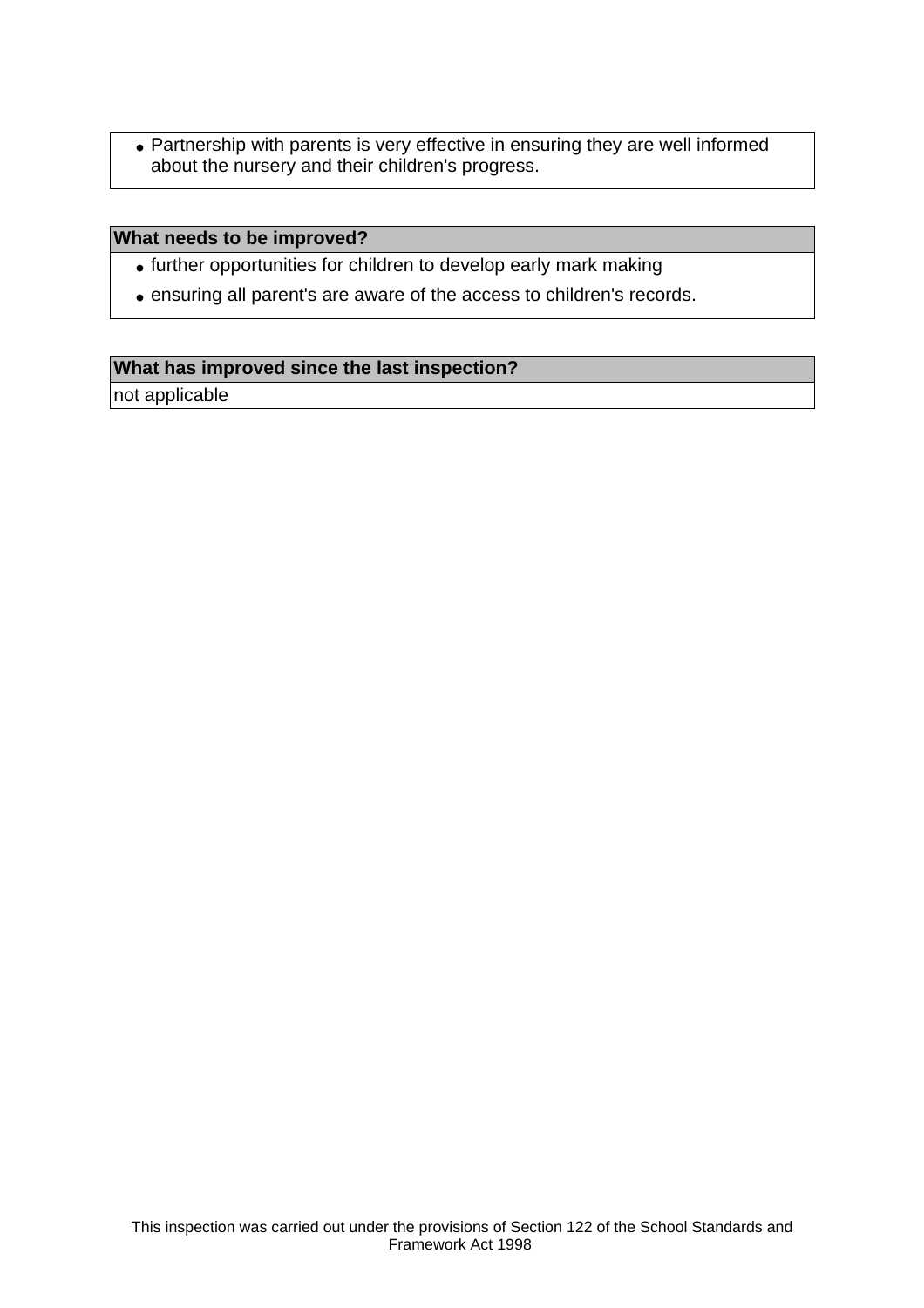• Partnership with parents is very effective in ensuring they are well informed about the nursery and their children's progress.

#### **What needs to be improved?**

- further opportunities for children to develop early mark making
- ensuring all parent's are aware of the access to children's records.

# **What has improved since the last inspection?**

not applicable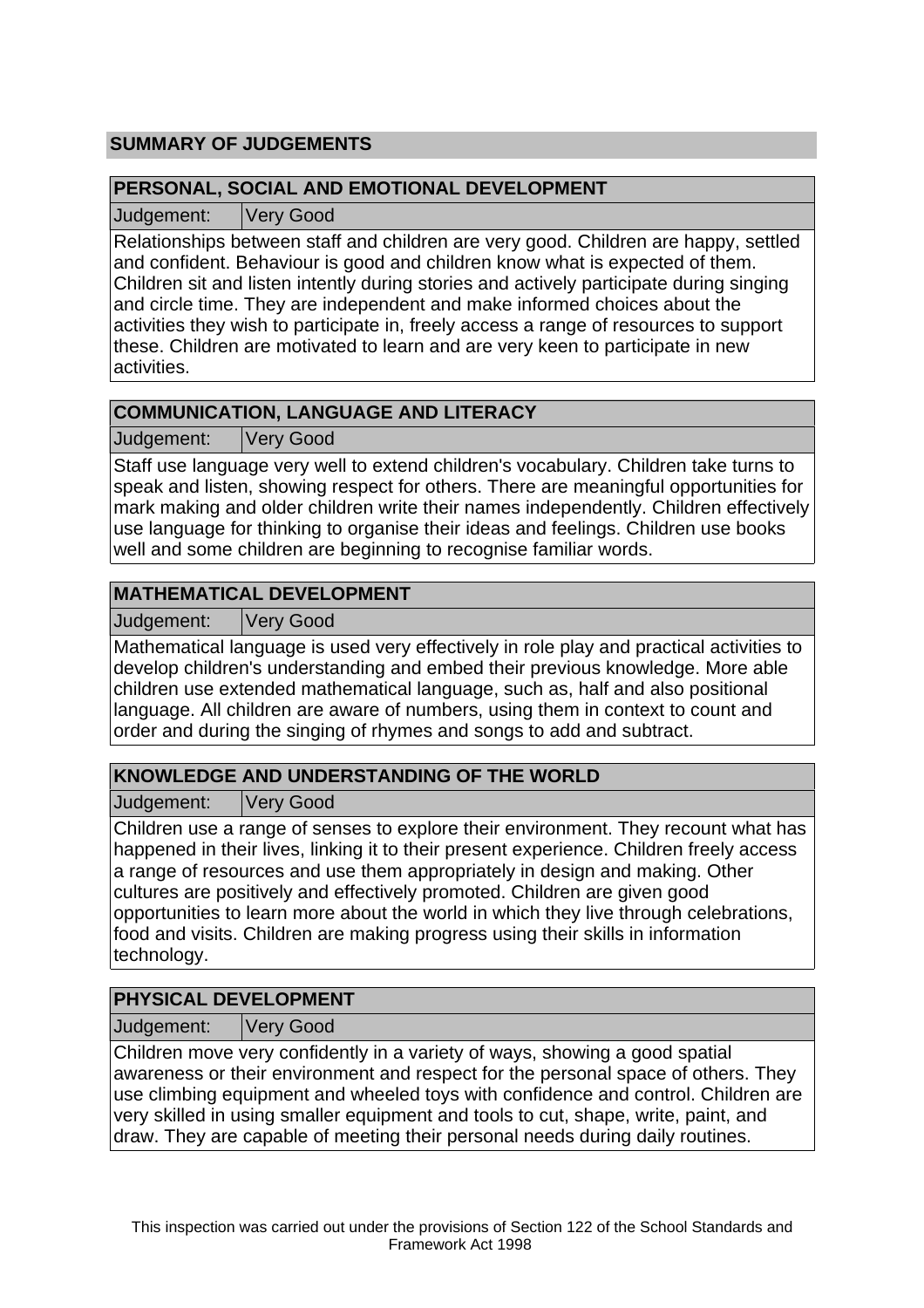# **SUMMARY OF JUDGEMENTS**

### **PERSONAL, SOCIAL AND EMOTIONAL DEVELOPMENT**

Judgement: Very Good

Relationships between staff and children are very good. Children are happy, settled and confident. Behaviour is good and children know what is expected of them. Children sit and listen intently during stories and actively participate during singing and circle time. They are independent and make informed choices about the activities they wish to participate in, freely access a range of resources to support these. Children are motivated to learn and are very keen to participate in new activities.

# **COMMUNICATION, LANGUAGE AND LITERACY**

Judgement: Very Good

Staff use language very well to extend children's vocabulary. Children take turns to speak and listen, showing respect for others. There are meaningful opportunities for mark making and older children write their names independently. Children effectively use language for thinking to organise their ideas and feelings. Children use books well and some children are beginning to recognise familiar words.

# **MATHEMATICAL DEVELOPMENT**

Judgement: Very Good

Mathematical language is used very effectively in role play and practical activities to develop children's understanding and embed their previous knowledge. More able children use extended mathematical language, such as, half and also positional language. All children are aware of numbers, using them in context to count and order and during the singing of rhymes and songs to add and subtract.

# **KNOWLEDGE AND UNDERSTANDING OF THE WORLD**

Judgement: Very Good

Children use a range of senses to explore their environment. They recount what has happened in their lives, linking it to their present experience. Children freely access a range of resources and use them appropriately in design and making. Other cultures are positively and effectively promoted. Children are given good opportunities to learn more about the world in which they live through celebrations, food and visits. Children are making progress using their skills in information technology.

# **PHYSICAL DEVELOPMENT**

Judgement: Very Good

Children move very confidently in a variety of ways, showing a good spatial awareness or their environment and respect for the personal space of others. They use climbing equipment and wheeled toys with confidence and control. Children are very skilled in using smaller equipment and tools to cut, shape, write, paint, and draw. They are capable of meeting their personal needs during daily routines.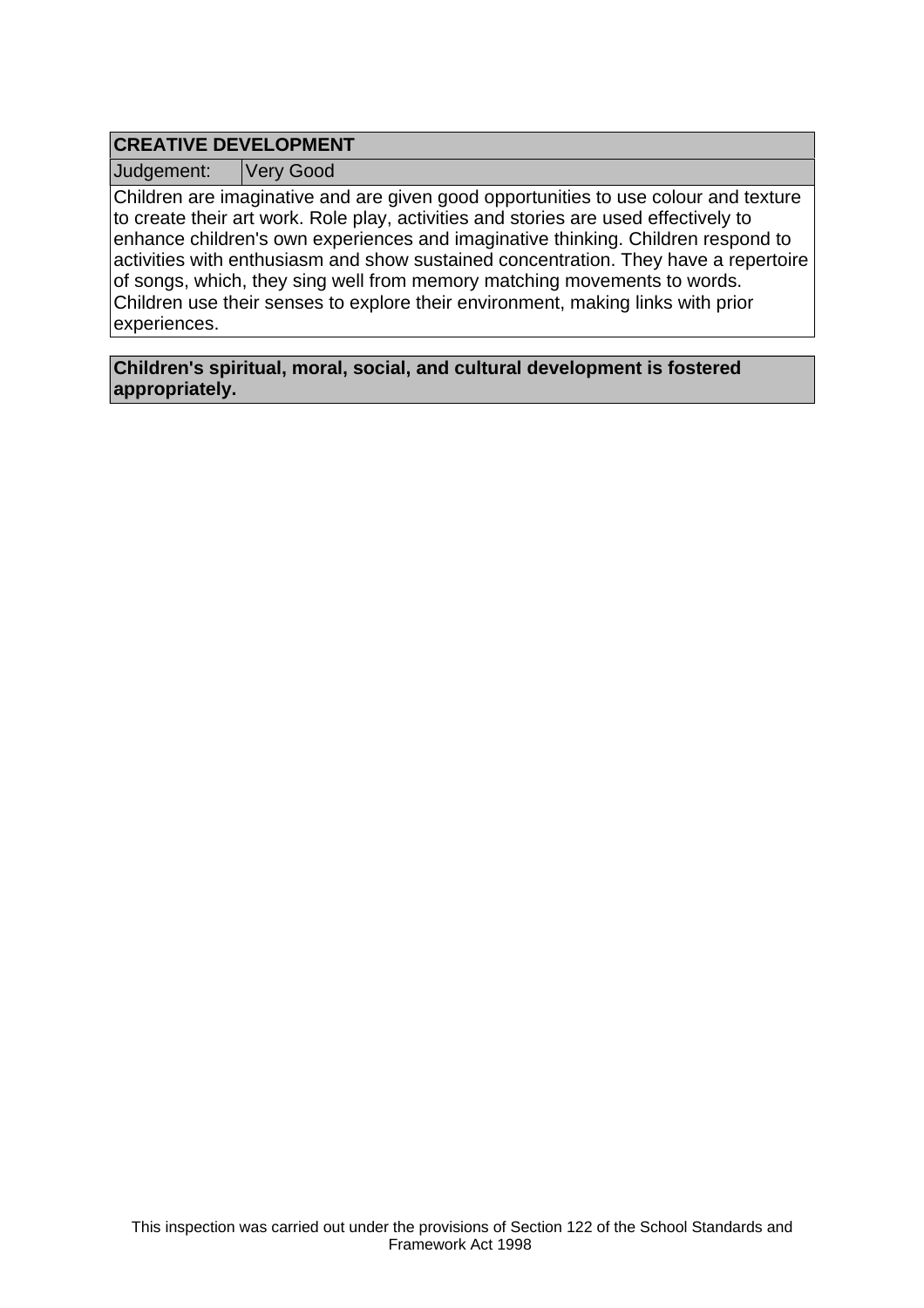## **CREATIVE DEVELOPMENT**

Judgement: Very Good

Children are imaginative and are given good opportunities to use colour and texture to create their art work. Role play, activities and stories are used effectively to enhance children's own experiences and imaginative thinking. Children respond to activities with enthusiasm and show sustained concentration. They have a repertoire of songs, which, they sing well from memory matching movements to words. Children use their senses to explore their environment, making links with prior experiences.

**Children's spiritual, moral, social, and cultural development is fostered appropriately.**